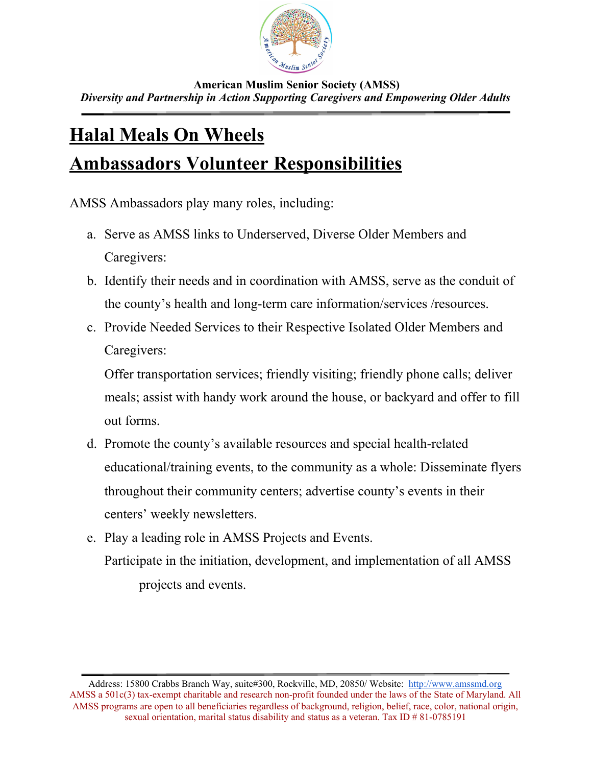

 **American Muslim Senior Society (AMSS)** *Diversity and Partnership in Action Supporting Caregivers and Empowering Older Adults*

## **Halal Meals On Wheels Ambassadors Volunteer Responsibilities**

AMSS Ambassadors play many roles, including:

- a. Serve as AMSS links to Underserved, Diverse Older Members and Caregivers:
- b. Identify their needs and in coordination with AMSS, serve as the conduit of the county's health and long-term care information/services /resources.
- c. Provide Needed Services to their Respective Isolated Older Members and Caregivers:

Offer transportation services; friendly visiting; friendly phone calls; deliver meals; assist with handy work around the house, or backyard and offer to fill out forms.

- d. Promote the county's available resources and special health-related educational/training events, to the community as a whole: Disseminate flyers throughout their community centers; advertise county's events in their centers' weekly newsletters.
- e. Play a leading role in AMSS Projects and Events. Participate in the initiation, development, and implementation of all AMSS projects and events.

Address: 15800 Crabbs Branch Way, suite#300, Rockville, MD, 20850/ Website: [http://www.amssmd.org](http://www.amssmd.org/) AMSS a 501c(3) tax-exempt charitable and research non-profit founded under the laws of the State of Maryland. All AMSS programs are open to all beneficiaries regardless of background, religion, belief, race, color, national origin, sexual orientation, marital status disability and status as a veteran. Tax ID  $\#81-0785191$